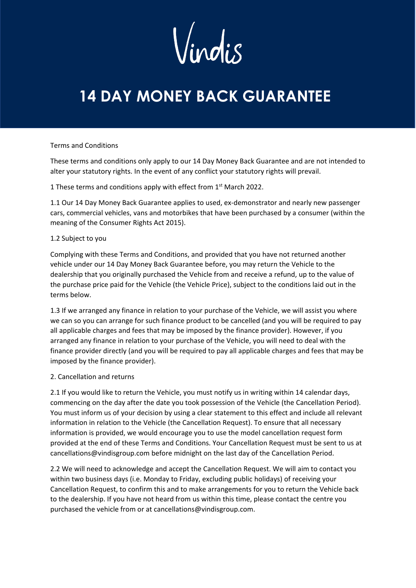# **14 DAY MONEY BACK GUARANTEE**

## Terms and Conditions

These terms and conditions only apply to our 14 Day Money Back Guarantee and are not intended to alter your statutory rights. In the event of any conflict your statutory rights will prevail.

1 These terms and conditions apply with effect from 1<sup>st</sup> March 2022.

1.1 Our 14 Day Money Back Guarantee applies to used, ex-demonstrator and nearly new passenger cars, commercial vehicles, vans and motorbikes that have been purchased by a consumer (within the meaning of the Consumer Rights Act 2015).

#### 1.2 Subject to you

Complying with these Terms and Conditions, and provided that you have not returned another vehicle under our 14 Day Money Back Guarantee before, you may return the Vehicle to the dealership that you originally purchased the Vehicle from and receive a refund, up to the value of the purchase price paid for the Vehicle (the Vehicle Price), subject to the conditions laid out in the terms below.

1.3 If we arranged any finance in relation to your purchase of the Vehicle, we will assist you where we can so you can arrange for such finance product to be cancelled (and you will be required to pay all applicable charges and fees that may be imposed by the finance provider). However, if you arranged any finance in relation to your purchase of the Vehicle, you will need to deal with the finance provider directly (and you will be required to pay all applicable charges and fees that may be imposed by the finance provider).

#### 2. Cancellation and returns

2.1 If you would like to return the Vehicle, you must notify us in writing within 14 calendar days, commencing on the day after the date you took possession of the Vehicle (the Cancellation Period). You must inform us of your decision by using a clear statement to this effect and include all relevant information in relation to the Vehicle (the Cancellation Request). To ensure that all necessary information is provided, we would encourage you to use the model cancellation request form provided at the end of these Terms and Conditions. Your Cancellation Request must be sent to us at cancellations@vindisgroup.com before midnight on the last day of the Cancellation Period.

2.2 We will need to acknowledge and accept the Cancellation Request. We will aim to contact you within two business days (i.e. Monday to Friday, excluding public holidays) of receiving your Cancellation Request, to confirm this and to make arrangements for you to return the Vehicle back to the dealership. If you have not heard from us within this time, please contact the centre you purchased the vehicle from or at cancellations@vindisgroup.com.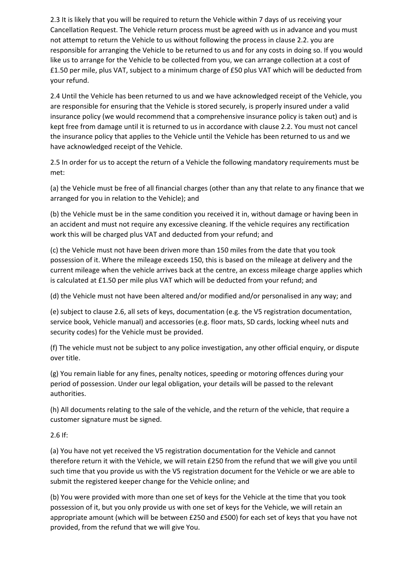2.3 It is likely that you will be required to return the Vehicle within 7 days of us receiving your Cancellation Request. The Vehicle return process must be agreed with us in advance and you must not attempt to return the Vehicle to us without following the process in clause 2.2. you are responsible for arranging the Vehicle to be returned to us and for any costs in doing so. If you would like us to arrange for the Vehicle to be collected from you, we can arrange collection at a cost of £1.50 per mile, plus VAT, subject to a minimum charge of £50 plus VAT which will be deducted from your refund.

2.4 Until the Vehicle has been returned to us and we have acknowledged receipt of the Vehicle, you are responsible for ensuring that the Vehicle is stored securely, is properly insured under a valid insurance policy (we would recommend that a comprehensive insurance policy is taken out) and is kept free from damage until it is returned to us in accordance with clause 2.2. You must not cancel the insurance policy that applies to the Vehicle until the Vehicle has been returned to us and we have acknowledged receipt of the Vehicle.

2.5 In order for us to accept the return of a Vehicle the following mandatory requirements must be met:

(a) the Vehicle must be free of all financial charges (other than any that relate to any finance that we arranged for you in relation to the Vehicle); and

(b) the Vehicle must be in the same condition you received it in, without damage or having been in an accident and must not require any excessive cleaning. If the vehicle requires any rectification work this will be charged plus VAT and deducted from your refund; and

(c) the Vehicle must not have been driven more than 150 miles from the date that you took possession of it. Where the mileage exceeds 150, this is based on the mileage at delivery and the current mileage when the vehicle arrives back at the centre, an excess mileage charge applies which is calculated at £1.50 per mile plus VAT which will be deducted from your refund; and

(d) the Vehicle must not have been altered and/or modified and/or personalised in any way; and

(e) subject to clause 2.6, all sets of keys, documentation (e.g. the V5 registration documentation, service book, Vehicle manual) and accessories (e.g. floor mats, SD cards, locking wheel nuts and security codes) for the Vehicle must be provided.

(f) The vehicle must not be subject to any police investigation, any other official enquiry, or dispute over title.

(g) You remain liable for any fines, penalty notices, speeding or motoring offences during your period of possession. Under our legal obligation, your details will be passed to the relevant authorities.

(h) All documents relating to the sale of the vehicle, and the return of the vehicle, that require a customer signature must be signed.

2.6 If:

(a) You have not yet received the V5 registration documentation for the Vehicle and cannot therefore return it with the Vehicle, we will retain £250 from the refund that we will give you until such time that you provide us with the V5 registration document for the Vehicle or we are able to submit the registered keeper change for the Vehicle online; and

(b) You were provided with more than one set of keys for the Vehicle at the time that you took possession of it, but you only provide us with one set of keys for the Vehicle, we will retain an appropriate amount (which will be between £250 and £500) for each set of keys that you have not provided, from the refund that we will give You.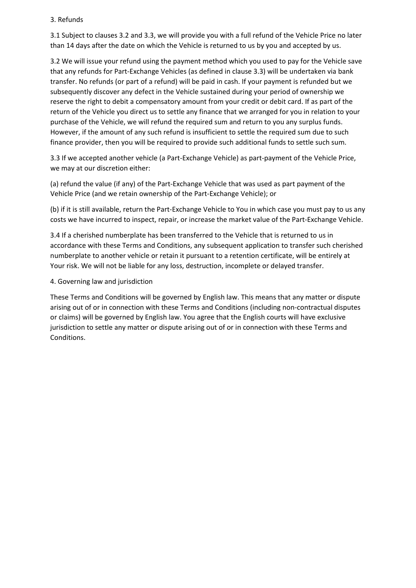# 3. Refunds

3.1 Subject to clauses 3.2 and 3.3, we will provide you with a full refund of the Vehicle Price no later than 14 days after the date on which the Vehicle is returned to us by you and accepted by us.

3.2 We will issue your refund using the payment method which you used to pay for the Vehicle save that any refunds for Part-Exchange Vehicles (as defined in clause 3.3) will be undertaken via bank transfer. No refunds (or part of a refund) will be paid in cash. If your payment is refunded but we subsequently discover any defect in the Vehicle sustained during your period of ownership we reserve the right to debit a compensatory amount from your credit or debit card. If as part of the return of the Vehicle you direct us to settle any finance that we arranged for you in relation to your purchase of the Vehicle, we will refund the required sum and return to you any surplus funds. However, if the amount of any such refund is insufficient to settle the required sum due to such finance provider, then you will be required to provide such additional funds to settle such sum.

3.3 If we accepted another vehicle (a Part-Exchange Vehicle) as part-payment of the Vehicle Price, we may at our discretion either:

(a) refund the value (if any) of the Part-Exchange Vehicle that was used as part payment of the Vehicle Price (and we retain ownership of the Part-Exchange Vehicle); or

(b) if it is still available, return the Part-Exchange Vehicle to You in which case you must pay to us any costs we have incurred to inspect, repair, or increase the market value of the Part-Exchange Vehicle.

3.4 If a cherished numberplate has been transferred to the Vehicle that is returned to us in accordance with these Terms and Conditions, any subsequent application to transfer such cherished numberplate to another vehicle or retain it pursuant to a retention certificate, will be entirely at Your risk. We will not be liable for any loss, destruction, incomplete or delayed transfer.

4. Governing law and jurisdiction

These Terms and Conditions will be governed by English law. This means that any matter or dispute arising out of or in connection with these Terms and Conditions (including non-contractual disputes or claims) will be governed by English law. You agree that the English courts will have exclusive jurisdiction to settle any matter or dispute arising out of or in connection with these Terms and Conditions.